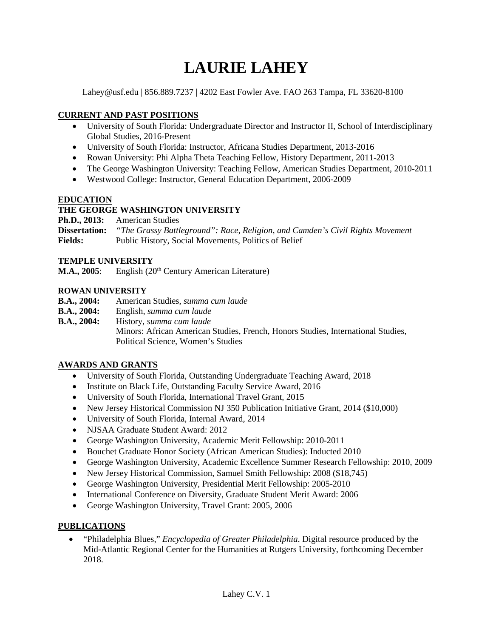# **LAURIE LAHEY**

Lahey@usf.edu | 856.889.7237 | 4202 East Fowler Ave. FAO 263 Tampa, FL 33620-8100

# **CURRENT AND PAST POSITIONS**

- University of South Florida: Undergraduate Director and Instructor II, School of Interdisciplinary Global Studies, 2016-Present
- University of South Florida: Instructor, Africana Studies Department, 2013-2016
- Rowan University: Phi Alpha Theta Teaching Fellow, History Department, 2011-2013
- The George Washington University: Teaching Fellow, American Studies Department, 2010-2011
- Westwood College: Instructor, General Education Department, 2006-2009

## **EDUCATION**

# **THE GEORGE WASHINGTON UNIVERSITY**

**Ph.D., 2013:** American Studies

**Dissertation:** *"The Grassy Battleground": Race, Religion, and Camden's Civil Rights Movement* **Fields:** Public History, Social Movements, Politics of Belief

#### **TEMPLE UNIVERSITY**

**M.A., 2005**: English (20<sup>th</sup> Century American Literature)

#### **ROWAN UNIVERSITY**

- **B.A., 2004:** American Studies, *summa cum laude*
- **B.A., 2004:** English, *summa cum laude*

**B.A., 2004:** History, *summa cum laude* Minors: African American Studies, French, Honors Studies, International Studies, Political Science, Women's Studies

## **AWARDS AND GRANTS**

- University of South Florida, Outstanding Undergraduate Teaching Award, 2018
- Institute on Black Life, Outstanding Faculty Service Award, 2016
- University of South Florida, International Travel Grant, 2015
- New Jersey Historical Commission NJ 350 Publication Initiative Grant, 2014 (\$10,000)
- University of South Florida, Internal Award, 2014
- NJSAA Graduate Student Award: 2012
- George Washington University, Academic Merit Fellowship: 2010-2011
- Bouchet Graduate Honor Society (African American Studies): Inducted 2010
- George Washington University, Academic Excellence Summer Research Fellowship: 2010, 2009
- New Jersey Historical Commission, Samuel Smith Fellowship: 2008 (\$18,745)
- George Washington University, Presidential Merit Fellowship: 2005-2010
- International Conference on Diversity, Graduate Student Merit Award: 2006
- George Washington University, Travel Grant: 2005, 2006

## **PUBLICATIONS**

• "Philadelphia Blues," *Encyclopedia of Greater Philadelphia*. Digital resource produced by the Mid-Atlantic Regional Center for the Humanities at Rutgers University, forthcoming December 2018.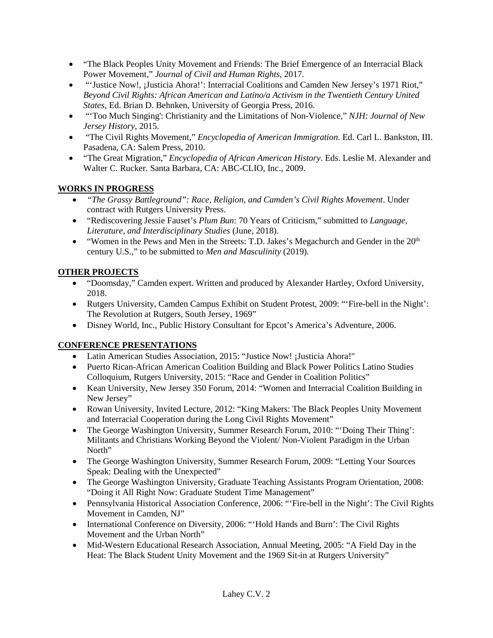- "The Black Peoples Unity Movement and Friends: The Brief Emergence of an Interracial Black Power Movement," *Journal of Civil and Human Rights*, 2017.
- "'Justice Now!, ¡Justicia Ahora!': Interracial Coalitions and Camden New Jersey's 1971 Riot," *Beyond Civil Rights: African American and Latino/a Activism in the Twentieth Century United States*, Ed. Brian D. Behnken, University of Georgia Press, 2016.
- "'Too Much Singing': Christianity and the Limitations of Non-Violence," *NJH: Journal of New Jersey History*, 2015.
- "The Civil Rights Movement," *Encyclopedia of American Immigration.* Ed. Carl L. Bankston, III. Pasadena, CA: Salem Press, 2010.
- "The Great Migration," *Encyclopedia of African American History*. Eds. Leslie M. Alexander and Walter C. Rucker. Santa Barbara, CA: ABC-CLIO, Inc., 2009.

# **WORKS IN PROGRESS**

- *"The Grassy Battleground": Race, Religion, and Camden's Civil Rights Movement*. Under contract with Rutgers University Press.
- "Rediscovering Jessie Fauset's *Plum Bun*: 70 Years of Criticism," submitted to *Language, Literature, and Interdisciplinary Studies* (June, 2018).
- "Women in the Pews and Men in the Streets: T.D. Jakes's Megachurch and Gender in the  $20<sup>th</sup>$ century U.S.," to be submitted to *Men and Masculinity* (2019)*.*

# **OTHER PROJECTS**

- "Doomsday," Camden expert. Written and produced by Alexander Hartley, Oxford University, 2018.
- Rutgers University, Camden Campus Exhibit on Student Protest, 2009: "'Fire-bell in the Night': The Revolution at Rutgers, South Jersey, 1969"
- Disney World, Inc., Public History Consultant for Epcot's America's Adventure, 2006.

## **CONFERENCE PRESENTATIONS**

- Latin American Studies Association, 2015: "Justice Now! ¡Justicia Ahora!"
- Puerto Rican-African American Coalition Building and Black Power Politics Latino Studies Colloquium, Rutgers University, 2015: "Race and Gender in Coalition Politics"
- Kean University, New Jersey 350 Forum, 2014: "Women and Interracial Coalition Building in New Jersey"
- Rowan University, Invited Lecture, 2012: "King Makers: The Black Peoples Unity Movement and Interracial Cooperation during the Long Civil Rights Movement"
- The George Washington University, Summer Research Forum, 2010: "Doing Their Thing': Militants and Christians Working Beyond the Violent/ Non-Violent Paradigm in the Urban North"
- The George Washington University, Summer Research Forum, 2009: "Letting Your Sources" Speak: Dealing with the Unexpected"
- The George Washington University, Graduate Teaching Assistants Program Orientation, 2008: "Doing it All Right Now: Graduate Student Time Management"
- Pennsylvania Historical Association Conference, 2006: "'Fire-bell in the Night': The Civil Rights Movement in Camden, NJ"
- International Conference on Diversity, 2006: "Hold Hands and Burn': The Civil Rights Movement and the Urban North"
- Mid-Western Educational Research Association, Annual Meeting, 2005: "A Field Day in the Heat: The Black Student Unity Movement and the 1969 Sit-in at Rutgers University"